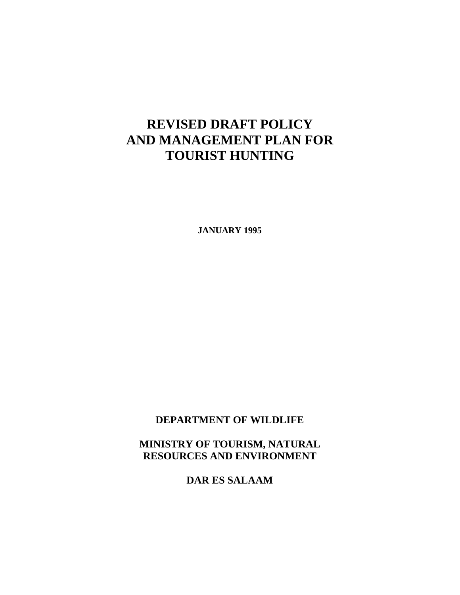# **REVISED DRAFT POLICY AND MANAGEMENT PLAN FOR TOURIST HUNTING**

**JANUARY 1995** 

**DEPARTMENT OF WILDLIFE** 

**MINISTRY OF TOURISM, NATURAL RESOURCES AND ENVIRONMENT** 

**DAR ES SALAAM**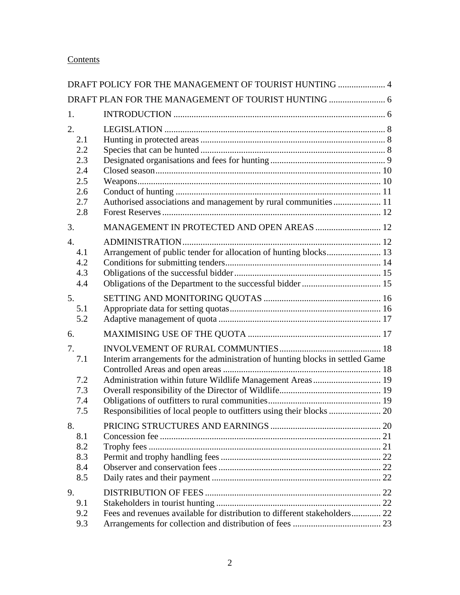# **Contents**

|                                                            | DRAFT POLICY FOR THE MANAGEMENT OF TOURIST HUNTING  4                         |  |
|------------------------------------------------------------|-------------------------------------------------------------------------------|--|
|                                                            | DRAFT PLAN FOR THE MANAGEMENT OF TOURIST HUNTING  6                           |  |
| 1.                                                         |                                                                               |  |
| 2.<br>2.1<br>2.2<br>2.3<br>2.4<br>2.5<br>2.6<br>2.7<br>2.8 | Authorised associations and management by rural communities  11               |  |
| 3.                                                         | MANAGEMENT IN PROTECTED AND OPEN AREAS  12                                    |  |
| $\overline{4}$ .<br>4.1<br>4.2<br>4.3<br>4.4               | Arrangement of public tender for allocation of hunting blocks 13              |  |
| 5.<br>5.1<br>5.2                                           |                                                                               |  |
| 6.                                                         |                                                                               |  |
| 7.<br>7.1<br>7.2<br>7.3<br>7.4<br>7.5                      | Interim arrangements for the administration of hunting blocks in settled Game |  |
| 8.<br>8.1<br>8.2<br>8.3<br>8.4<br>8.5                      |                                                                               |  |
| 9.<br>9.1<br>9.2<br>9.3                                    | Fees and revenues available for distribution to different stakeholders 22     |  |
|                                                            |                                                                               |  |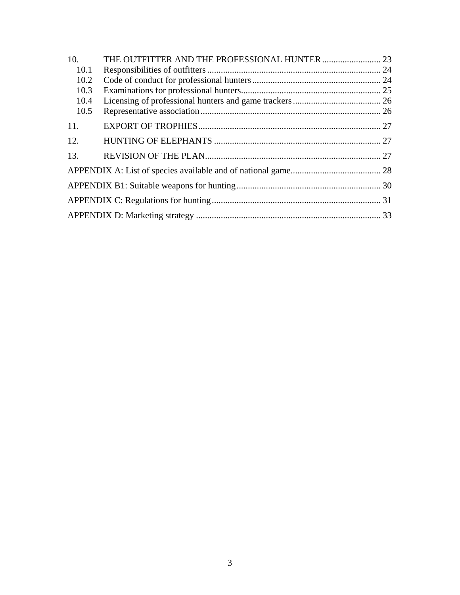| 10.  |  |  |  |  |
|------|--|--|--|--|
| 10.1 |  |  |  |  |
| 10.2 |  |  |  |  |
| 10.3 |  |  |  |  |
| 10.4 |  |  |  |  |
| 10.5 |  |  |  |  |
| 11.  |  |  |  |  |
| 12.  |  |  |  |  |
| 13.  |  |  |  |  |
|      |  |  |  |  |
|      |  |  |  |  |
|      |  |  |  |  |
|      |  |  |  |  |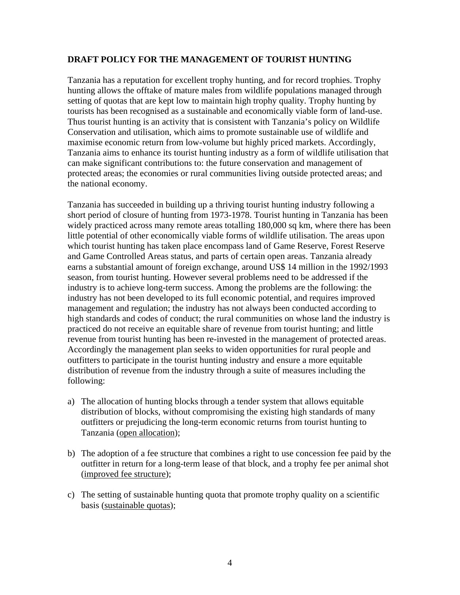#### <span id="page-3-0"></span>**DRAFT POLICY FOR THE MANAGEMENT OF TOURIST HUNTING**

Tanzania has a reputation for excellent trophy hunting, and for record trophies. Trophy hunting allows the offtake of mature males from wildlife populations managed through setting of quotas that are kept low to maintain high trophy quality. Trophy hunting by tourists has been recognised as a sustainable and economically viable form of land-use. Thus tourist hunting is an activity that is consistent with Tanzania's policy on Wildlife Conservation and utilisation, which aims to promote sustainable use of wildlife and maximise economic return from low-volume but highly priced markets. Accordingly, Tanzania aims to enhance its tourist hunting industry as a form of wildlife utilisation that can make significant contributions to: the future conservation and management of protected areas; the economies or rural communities living outside protected areas; and the national economy.

Tanzania has succeeded in building up a thriving tourist hunting industry following a short period of closure of hunting from 1973-1978. Tourist hunting in Tanzania has been widely practiced across many remote areas totalling 180,000 sq km, where there has been little potential of other economically viable forms of wildlife utilisation. The areas upon which tourist hunting has taken place encompass land of Game Reserve, Forest Reserve and Game Controlled Areas status, and parts of certain open areas. Tanzania already earns a substantial amount of foreign exchange, around US\$ 14 million in the 1992/1993 season, from tourist hunting. However several problems need to be addressed if the industry is to achieve long-term success. Among the problems are the following: the industry has not been developed to its full economic potential, and requires improved management and regulation; the industry has not always been conducted according to high standards and codes of conduct; the rural communities on whose land the industry is practiced do not receive an equitable share of revenue from tourist hunting; and little revenue from tourist hunting has been re-invested in the management of protected areas. Accordingly the management plan seeks to widen opportunities for rural people and outfitters to participate in the tourist hunting industry and ensure a more equitable distribution of revenue from the industry through a suite of measures including the following:

- a) The allocation of hunting blocks through a tender system that allows equitable distribution of blocks, without compromising the existing high standards of many outfitters or prejudicing the long-term economic returns from tourist hunting to Tanzania (open allocation);
- b) The adoption of a fee structure that combines a right to use concession fee paid by the outfitter in return for a long-term lease of that block, and a trophy fee per animal shot (improved fee structure);
- c) The setting of sustainable hunting quota that promote trophy quality on a scientific basis (sustainable quotas);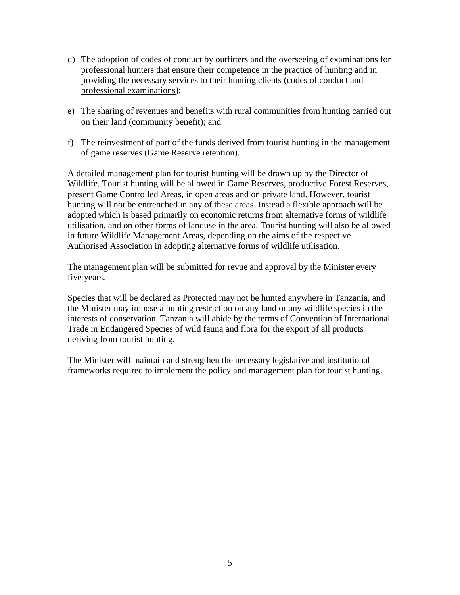- d) The adoption of codes of conduct by outfitters and the overseeing of examinations for professional hunters that ensure their competence in the practice of hunting and in providing the necessary services to their hunting clients (codes of conduct and professional examinations);
- e) The sharing of revenues and benefits with rural communities from hunting carried out on their land (community benefit); and
- f) The reinvestment of part of the funds derived from tourist hunting in the management of game reserves (Game Reserve retention).

A detailed management plan for tourist hunting will be drawn up by the Director of Wildlife. Tourist hunting will be allowed in Game Reserves, productive Forest Reserves, present Game Controlled Areas, in open areas and on private land. However, tourist hunting will not be entrenched in any of these areas. Instead a flexible approach will be adopted which is based primarily on economic returns from alternative forms of wildlife utilisation, and on other forms of landuse in the area. Tourist hunting will also be allowed in future Wildlife Management Areas, depending on the aims of the respective Authorised Association in adopting alternative forms of wildlife utilisation.

The management plan will be submitted for revue and approval by the Minister every five years.

Species that will be declared as Protected may not be hunted anywhere in Tanzania, and the Minister may impose a hunting restriction on any land or any wildlife species in the interests of conservation. Tanzania will abide by the terms of Convention of International Trade in Endangered Species of wild fauna and flora for the export of all products deriving from tourist hunting.

The Minister will maintain and strengthen the necessary legislative and institutional frameworks required to implement the policy and management plan for tourist hunting.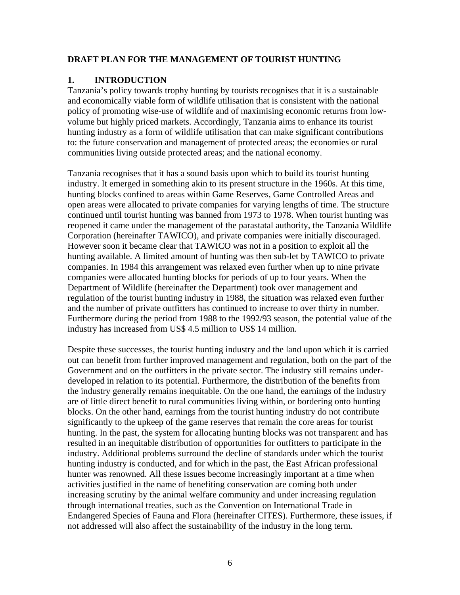### <span id="page-5-0"></span>**DRAFT PLAN FOR THE MANAGEMENT OF TOURIST HUNTING**

#### **1. INTRODUCTION**

Tanzania's policy towards trophy hunting by tourists recognises that it is a sustainable and economically viable form of wildlife utilisation that is consistent with the national policy of promoting wise-use of wildlife and of maximising economic returns from lowvolume but highly priced markets. Accordingly, Tanzania aims to enhance its tourist hunting industry as a form of wildlife utilisation that can make significant contributions to: the future conservation and management of protected areas; the economies or rural communities living outside protected areas; and the national economy.

Tanzania recognises that it has a sound basis upon which to build its tourist hunting industry. It emerged in something akin to its present structure in the 1960s. At this time, hunting blocks confined to areas within Game Reserves, Game Controlled Areas and open areas were allocated to private companies for varying lengths of time. The structure continued until tourist hunting was banned from 1973 to 1978. When tourist hunting was reopened it came under the management of the parastatal authority, the Tanzania Wildlife Corporation (hereinafter TAWICO), and private companies were initially discouraged. However soon it became clear that TAWICO was not in a position to exploit all the hunting available. A limited amount of hunting was then sub-let by TAWICO to private companies. In 1984 this arrangement was relaxed even further when up to nine private companies were allocated hunting blocks for periods of up to four years. When the Department of Wildlife (hereinafter the Department) took over management and regulation of the tourist hunting industry in 1988, the situation was relaxed even further and the number of private outfitters has continued to increase to over thirty in number. Furthermore during the period from 1988 to the 1992/93 season, the potential value of the industry has increased from US\$ 4.5 million to US\$ 14 million.

Despite these successes, the tourist hunting industry and the land upon which it is carried out can benefit from further improved management and regulation, both on the part of the Government and on the outfitters in the private sector. The industry still remains underdeveloped in relation to its potential. Furthermore, the distribution of the benefits from the industry generally remains inequitable. On the one hand, the earnings of the industry are of little direct benefit to rural communities living within, or bordering onto hunting blocks. On the other hand, earnings from the tourist hunting industry do not contribute significantly to the upkeep of the game reserves that remain the core areas for tourist hunting. In the past, the system for allocating hunting blocks was not transparent and has resulted in an inequitable distribution of opportunities for outfitters to participate in the industry. Additional problems surround the decline of standards under which the tourist hunting industry is conducted, and for which in the past, the East African professional hunter was renowned. All these issues become increasingly important at a time when activities justified in the name of benefiting conservation are coming both under increasing scrutiny by the animal welfare community and under increasing regulation through international treaties, such as the Convention on International Trade in Endangered Species of Fauna and Flora (hereinafter CITES). Furthermore, these issues, if not addressed will also affect the sustainability of the industry in the long term.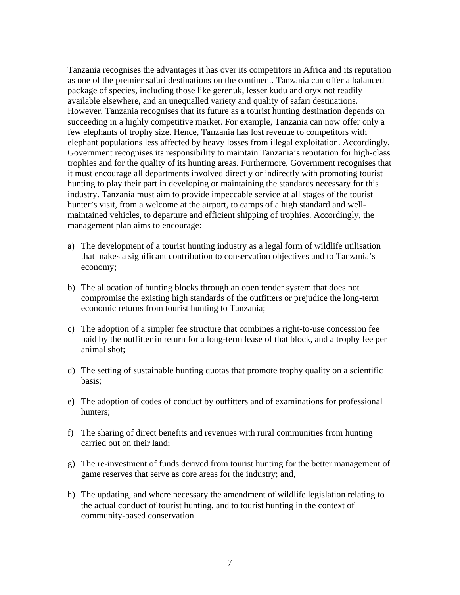Tanzania recognises the advantages it has over its competitors in Africa and its reputation as one of the premier safari destinations on the continent. Tanzania can offer a balanced package of species, including those like gerenuk, lesser kudu and oryx not readily available elsewhere, and an unequalled variety and quality of safari destinations. However, Tanzania recognises that its future as a tourist hunting destination depends on succeeding in a highly competitive market. For example, Tanzania can now offer only a few elephants of trophy size. Hence, Tanzania has lost revenue to competitors with elephant populations less affected by heavy losses from illegal exploitation. Accordingly, Government recognises its responsibility to maintain Tanzania's reputation for high-class trophies and for the quality of its hunting areas. Furthermore, Government recognises that it must encourage all departments involved directly or indirectly with promoting tourist hunting to play their part in developing or maintaining the standards necessary for this industry. Tanzania must aim to provide impeccable service at all stages of the tourist hunter's visit, from a welcome at the airport, to camps of a high standard and wellmaintained vehicles, to departure and efficient shipping of trophies. Accordingly, the management plan aims to encourage:

- a) The development of a tourist hunting industry as a legal form of wildlife utilisation that makes a significant contribution to conservation objectives and to Tanzania's economy;
- b) The allocation of hunting blocks through an open tender system that does not compromise the existing high standards of the outfitters or prejudice the long-term economic returns from tourist hunting to Tanzania;
- c) The adoption of a simpler fee structure that combines a right-to-use concession fee paid by the outfitter in return for a long-term lease of that block, and a trophy fee per animal shot;
- d) The setting of sustainable hunting quotas that promote trophy quality on a scientific basis;
- e) The adoption of codes of conduct by outfitters and of examinations for professional hunters;
- f) The sharing of direct benefits and revenues with rural communities from hunting carried out on their land;
- g) The re-investment of funds derived from tourist hunting for the better management of game reserves that serve as core areas for the industry; and,
- h) The updating, and where necessary the amendment of wildlife legislation relating to the actual conduct of tourist hunting, and to tourist hunting in the context of community-based conservation.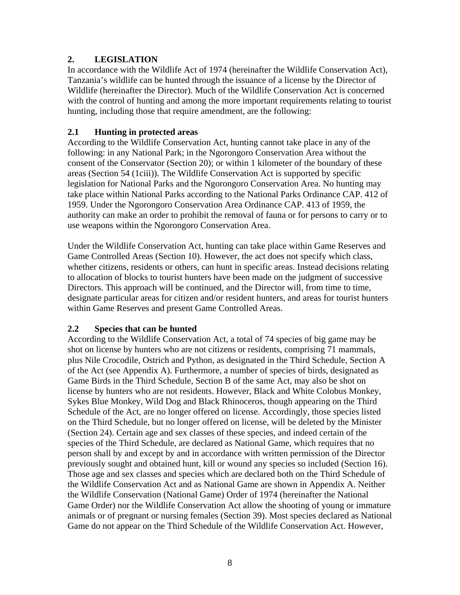### <span id="page-7-0"></span>**2. LEGISLATION**

In accordance with the Wildlife Act of 1974 (hereinafter the Wildlife Conservation Act), Tanzania's wildlife can be hunted through the issuance of a license by the Director of Wildlife (hereinafter the Director). Much of the Wildlife Conservation Act is concerned with the control of hunting and among the more important requirements relating to tourist hunting, including those that require amendment, are the following:

### **2.1 Hunting in protected areas**

According to the Wildlife Conservation Act, hunting cannot take place in any of the following: in any National Park; in the Ngorongoro Conservation Area without the consent of the Conservator (Section 20); or within 1 kilometer of the boundary of these areas (Section 54 (1ciii)). The Wildlife Conservation Act is supported by specific legislation for National Parks and the Ngorongoro Conservation Area. No hunting may take place within National Parks according to the National Parks Ordinance CAP. 412 of 1959. Under the Ngorongoro Conservation Area Ordinance CAP. 413 of 1959, the authority can make an order to prohibit the removal of fauna or for persons to carry or to use weapons within the Ngorongoro Conservation Area.

Under the Wildlife Conservation Act, hunting can take place within Game Reserves and Game Controlled Areas (Section 10). However, the act does not specify which class, whether citizens, residents or others, can hunt in specific areas. Instead decisions relating to allocation of blocks to tourist hunters have been made on the judgment of successive Directors. This approach will be continued, and the Director will, from time to time, designate particular areas for citizen and/or resident hunters, and areas for tourist hunters within Game Reserves and present Game Controlled Areas.

### **2.2 Species that can be hunted**

According to the Wildlife Conservation Act, a total of 74 species of big game may be shot on license by hunters who are not citizens or residents, comprising 71 mammals, plus Nile Crocodile, Ostrich and Python, as designated in the Third Schedule, Section A of the Act (see Appendix A). Furthermore, a number of species of birds, designated as Game Birds in the Third Schedule, Section B of the same Act, may also be shot on license by hunters who are not residents. However, Black and White Colobus Monkey, Sykes Blue Monkey, Wild Dog and Black Rhinoceros, though appearing on the Third Schedule of the Act, are no longer offered on license. Accordingly, those species listed on the Third Schedule, but no longer offered on license, will be deleted by the Minister (Section 24). Certain age and sex classes of these species, and indeed certain of the species of the Third Schedule, are declared as National Game, which requires that no person shall by and except by and in accordance with written permission of the Director previously sought and obtained hunt, kill or wound any species so included (Section 16). Those age and sex classes and species which are declared both on the Third Schedule of the Wildlife Conservation Act and as National Game are shown in Appendix A. Neither the Wildlife Conservation (National Game) Order of 1974 (hereinafter the National Game Order) nor the Wildlife Conservation Act allow the shooting of young or immature animals or of pregnant or nursing females (Section 39). Most species declared as National Game do not appear on the Third Schedule of the Wildlife Conservation Act. However,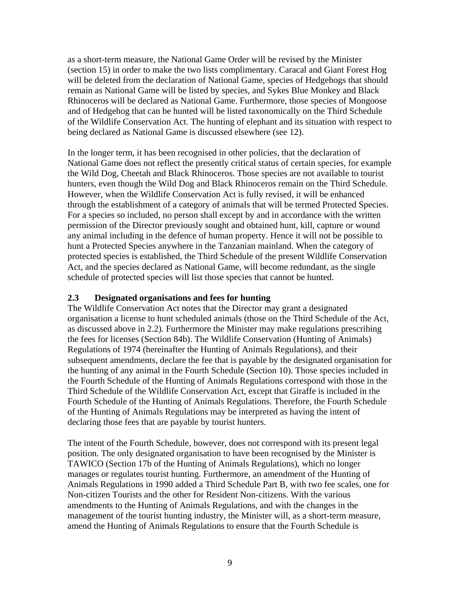<span id="page-8-0"></span>as a short-term measure, the National Game Order will be revised by the Minister (section 15) in order to make the two lists complimentary. Caracal and Giant Forest Hog will be deleted from the declaration of National Game, species of Hedgehogs that should remain as National Game will be listed by species, and Sykes Blue Monkey and Black Rhinoceros will be declared as National Game. Furthermore, those species of Mongoose and of Hedgehog that can be hunted will be listed taxonomically on the Third Schedule of the Wildlife Conservation Act. The hunting of elephant and its situation with respect to being declared as National Game is discussed elsewhere (see 12).

In the longer term, it has been recognised in other policies, that the declaration of National Game does not reflect the presently critical status of certain species, for example the Wild Dog, Cheetah and Black Rhinoceros. Those species are not available to tourist hunters, even though the Wild Dog and Black Rhinoceros remain on the Third Schedule. However, when the Wildlife Conservation Act is fully revised, it will be enhanced through the establishment of a category of animals that will be termed Protected Species. For a species so included, no person shall except by and in accordance with the written permission of the Director previously sought and obtained hunt, kill, capture or wound any animal including in the defence of human property. Hence it will not be possible to hunt a Protected Species anywhere in the Tanzanian mainland. When the category of protected species is established, the Third Schedule of the present Wildlife Conservation Act, and the species declared as National Game, will become redundant, as the single schedule of protected species will list those species that cannot be hunted.

#### **2.3 Designated organisations and fees for hunting**

The Wildlife Conservation Act notes that the Director may grant a designated organisation a license to hunt scheduled animals (those on the Third Schedule of the Act, as discussed above in 2.2). Furthermore the Minister may make regulations prescribing the fees for licenses (Section 84b). The Wildlife Conservation (Hunting of Animals) Regulations of 1974 (hereinafter the Hunting of Animals Regulations), and their subsequent amendments, declare the fee that is payable by the designated organisation for the hunting of any animal in the Fourth Schedule (Section 10). Those species included in the Fourth Schedule of the Hunting of Animals Regulations correspond with those in the Third Schedule of the Wildlife Conservation Act, except that Giraffe is included in the Fourth Schedule of the Hunting of Animals Regulations. Therefore, the Fourth Schedule of the Hunting of Animals Regulations may be interpreted as having the intent of declaring those fees that are payable by tourist hunters.

The intent of the Fourth Schedule, however, does not correspond with its present legal position. The only designated organisation to have been recognised by the Minister is TAWICO (Section 17b of the Hunting of Animals Regulations), which no longer manages or regulates tourist hunting. Furthermore, an amendment of the Hunting of Animals Regulations in 1990 added a Third Schedule Part B, with two fee scales, one for Non-citizen Tourists and the other for Resident Non-citizens. With the various amendments to the Hunting of Animals Regulations, and with the changes in the management of the tourist hunting industry, the Minister will, as a short-term measure, amend the Hunting of Animals Regulations to ensure that the Fourth Schedule is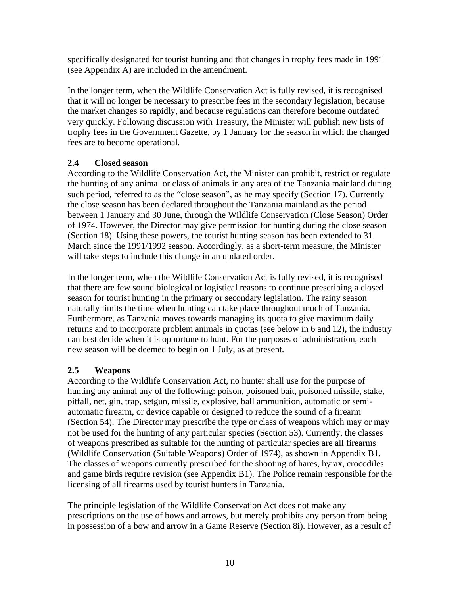<span id="page-9-0"></span>specifically designated for tourist hunting and that changes in trophy fees made in 1991 (see Appendix A) are included in the amendment.

In the longer term, when the Wildlife Conservation Act is fully revised, it is recognised that it will no longer be necessary to prescribe fees in the secondary legislation, because the market changes so rapidly, and because regulations can therefore become outdated very quickly. Following discussion with Treasury, the Minister will publish new lists of trophy fees in the Government Gazette, by 1 January for the season in which the changed fees are to become operational.

### **2.4 Closed season**

According to the Wildlife Conservation Act, the Minister can prohibit, restrict or regulate the hunting of any animal or class of animals in any area of the Tanzania mainland during such period, referred to as the "close season", as he may specify (Section 17). Currently the close season has been declared throughout the Tanzania mainland as the period between 1 January and 30 June, through the Wildlife Conservation (Close Season) Order of 1974. However, the Director may give permission for hunting during the close season (Section 18). Using these powers, the tourist hunting season has been extended to 31 March since the 1991/1992 season. Accordingly, as a short-term measure, the Minister will take steps to include this change in an updated order.

In the longer term, when the Wildlife Conservation Act is fully revised, it is recognised that there are few sound biological or logistical reasons to continue prescribing a closed season for tourist hunting in the primary or secondary legislation. The rainy season naturally limits the time when hunting can take place throughout much of Tanzania. Furthermore, as Tanzania moves towards managing its quota to give maximum daily returns and to incorporate problem animals in quotas (see below in 6 and 12), the industry can best decide when it is opportune to hunt. For the purposes of administration, each new season will be deemed to begin on 1 July, as at present.

# **2.5 Weapons**

According to the Wildlife Conservation Act, no hunter shall use for the purpose of hunting any animal any of the following: poison, poisoned bait, poisoned missile, stake, pitfall, net, gin, trap, setgun, missile, explosive, ball ammunition, automatic or semiautomatic firearm, or device capable or designed to reduce the sound of a firearm (Section 54). The Director may prescribe the type or class of weapons which may or may not be used for the hunting of any particular species (Section 53). Currently, the classes of weapons prescribed as suitable for the hunting of particular species are all firearms (Wildlife Conservation (Suitable Weapons) Order of 1974), as shown in Appendix B1. The classes of weapons currently prescribed for the shooting of hares, hyrax, crocodiles and game birds require revision (see Appendix B1). The Police remain responsible for the licensing of all firearms used by tourist hunters in Tanzania.

The principle legislation of the Wildlife Conservation Act does not make any prescriptions on the use of bows and arrows, but merely prohibits any person from being in possession of a bow and arrow in a Game Reserve (Section 8i). However, as a result of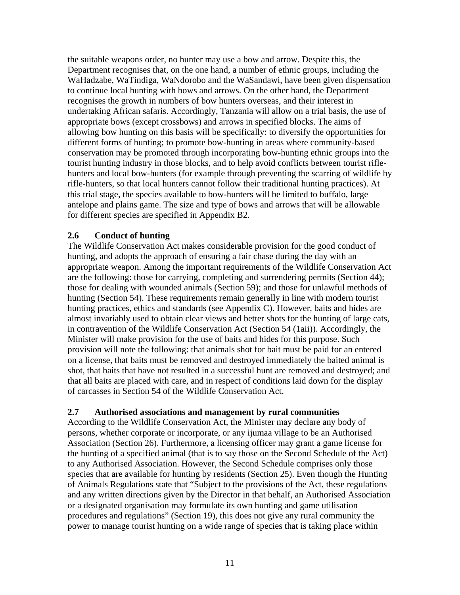<span id="page-10-0"></span>the suitable weapons order, no hunter may use a bow and arrow. Despite this, the Department recognises that, on the one hand, a number of ethnic groups, including the WaHadzabe, WaTindiga, WaNdorobo and the WaSandawi, have been given dispensation to continue local hunting with bows and arrows. On the other hand, the Department recognises the growth in numbers of bow hunters overseas, and their interest in undertaking African safaris. Accordingly, Tanzania will allow on a trial basis, the use of appropriate bows (except crossbows) and arrows in specified blocks. The aims of allowing bow hunting on this basis will be specifically: to diversify the opportunities for different forms of hunting; to promote bow-hunting in areas where community-based conservation may be promoted through incorporating bow-hunting ethnic groups into the tourist hunting industry in those blocks, and to help avoid conflicts between tourist riflehunters and local bow-hunters (for example through preventing the scarring of wildlife by rifle-hunters, so that local hunters cannot follow their traditional hunting practices). At this trial stage, the species available to bow-hunters will be limited to buffalo, large antelope and plains game. The size and type of bows and arrows that will be allowable for different species are specified in Appendix B2.

#### **2.6 Conduct of hunting**

The Wildlife Conservation Act makes considerable provision for the good conduct of hunting, and adopts the approach of ensuring a fair chase during the day with an appropriate weapon. Among the important requirements of the Wildlife Conservation Act are the following: those for carrying, completing and surrendering permits (Section 44); those for dealing with wounded animals (Section 59); and those for unlawful methods of hunting (Section 54). These requirements remain generally in line with modern tourist hunting practices, ethics and standards (see Appendix C). However, baits and hides are almost invariably used to obtain clear views and better shots for the hunting of large cats, in contravention of the Wildlife Conservation Act (Section 54 (1aii)). Accordingly, the Minister will make provision for the use of baits and hides for this purpose. Such provision will note the following: that animals shot for bait must be paid for an entered on a license, that baits must be removed and destroyed immediately the baited animal is shot, that baits that have not resulted in a successful hunt are removed and destroyed; and that all baits are placed with care, and in respect of conditions laid down for the display of carcasses in Section 54 of the Wildlife Conservation Act.

#### **2.7 Authorised associations and management by rural communities**

According to the Wildlife Conservation Act, the Minister may declare any body of persons, whether corporate or incorporate, or any ijumaa village to be an Authorised Association (Section 26). Furthermore, a licensing officer may grant a game license for the hunting of a specified animal (that is to say those on the Second Schedule of the Act) to any Authorised Association. However, the Second Schedule comprises only those species that are available for hunting by residents (Section 25). Even though the Hunting of Animals Regulations state that "Subject to the provisions of the Act, these regulations and any written directions given by the Director in that behalf, an Authorised Association or a designated organisation may formulate its own hunting and game utilisation procedures and regulations" (Section 19), this does not give any rural community the power to manage tourist hunting on a wide range of species that is taking place within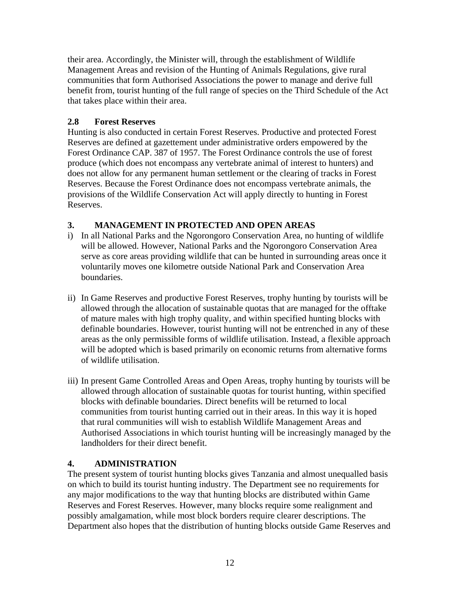<span id="page-11-0"></span>their area. Accordingly, the Minister will, through the establishment of Wildlife Management Areas and revision of the Hunting of Animals Regulations, give rural communities that form Authorised Associations the power to manage and derive full benefit from, tourist hunting of the full range of species on the Third Schedule of the Act that takes place within their area.

### **2.8 Forest Reserves**

Hunting is also conducted in certain Forest Reserves. Productive and protected Forest Reserves are defined at gazettement under administrative orders empowered by the Forest Ordinance CAP. 387 of 1957. The Forest Ordinance controls the use of forest produce (which does not encompass any vertebrate animal of interest to hunters) and does not allow for any permanent human settlement or the clearing of tracks in Forest Reserves. Because the Forest Ordinance does not encompass vertebrate animals, the provisions of the Wildlife Conservation Act will apply directly to hunting in Forest Reserves.

# **3. MANAGEMENT IN PROTECTED AND OPEN AREAS**

- i) In all National Parks and the Ngorongoro Conservation Area, no hunting of wildlife will be allowed. However, National Parks and the Ngorongoro Conservation Area serve as core areas providing wildlife that can be hunted in surrounding areas once it voluntarily moves one kilometre outside National Park and Conservation Area boundaries.
- ii) In Game Reserves and productive Forest Reserves, trophy hunting by tourists will be allowed through the allocation of sustainable quotas that are managed for the offtake of mature males with high trophy quality, and within specified hunting blocks with definable boundaries. However, tourist hunting will not be entrenched in any of these areas as the only permissible forms of wildlife utilisation. Instead, a flexible approach will be adopted which is based primarily on economic returns from alternative forms of wildlife utilisation.
- iii) In present Game Controlled Areas and Open Areas, trophy hunting by tourists will be allowed through allocation of sustainable quotas for tourist hunting, within specified blocks with definable boundaries. Direct benefits will be returned to local communities from tourist hunting carried out in their areas. In this way it is hoped that rural communities will wish to establish Wildlife Management Areas and Authorised Associations in which tourist hunting will be increasingly managed by the landholders for their direct benefit.

# **4. ADMINISTRATION**

The present system of tourist hunting blocks gives Tanzania and almost unequalled basis on which to build its tourist hunting industry. The Department see no requirements for any major modifications to the way that hunting blocks are distributed within Game Reserves and Forest Reserves. However, many blocks require some realignment and possibly amalgamation, while most block borders require clearer descriptions. The Department also hopes that the distribution of hunting blocks outside Game Reserves and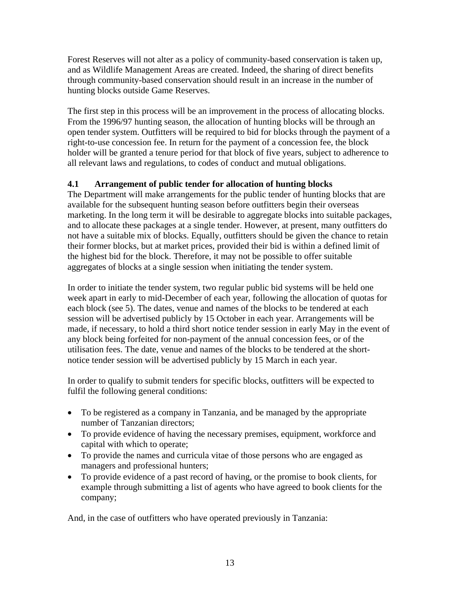<span id="page-12-0"></span>Forest Reserves will not alter as a policy of community-based conservation is taken up, and as Wildlife Management Areas are created. Indeed, the sharing of direct benefits through community-based conservation should result in an increase in the number of hunting blocks outside Game Reserves.

The first step in this process will be an improvement in the process of allocating blocks. From the 1996/97 hunting season, the allocation of hunting blocks will be through an open tender system. Outfitters will be required to bid for blocks through the payment of a right-to-use concession fee. In return for the payment of a concession fee, the block holder will be granted a tenure period for that block of five years, subject to adherence to all relevant laws and regulations, to codes of conduct and mutual obligations.

# **4.1 Arrangement of public tender for allocation of hunting blocks**

The Department will make arrangements for the public tender of hunting blocks that are available for the subsequent hunting season before outfitters begin their overseas marketing. In the long term it will be desirable to aggregate blocks into suitable packages, and to allocate these packages at a single tender. However, at present, many outfitters do not have a suitable mix of blocks. Equally, outfitters should be given the chance to retain their former blocks, but at market prices, provided their bid is within a defined limit of the highest bid for the block. Therefore, it may not be possible to offer suitable aggregates of blocks at a single session when initiating the tender system.

In order to initiate the tender system, two regular public bid systems will be held one week apart in early to mid-December of each year, following the allocation of quotas for each block (see 5). The dates, venue and names of the blocks to be tendered at each session will be advertised publicly by 15 October in each year. Arrangements will be made, if necessary, to hold a third short notice tender session in early May in the event of any block being forfeited for non-payment of the annual concession fees, or of the utilisation fees. The date, venue and names of the blocks to be tendered at the shortnotice tender session will be advertised publicly by 15 March in each year.

In order to qualify to submit tenders for specific blocks, outfitters will be expected to fulfil the following general conditions:

- To be registered as a company in Tanzania, and be managed by the appropriate number of Tanzanian directors;
- To provide evidence of having the necessary premises, equipment, workforce and capital with which to operate;
- To provide the names and curricula vitae of those persons who are engaged as managers and professional hunters;
- To provide evidence of a past record of having, or the promise to book clients, for example through submitting a list of agents who have agreed to book clients for the company;

And, in the case of outfitters who have operated previously in Tanzania: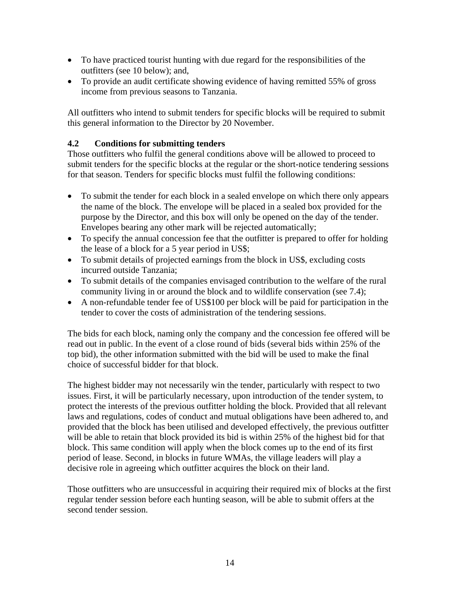- <span id="page-13-0"></span>• To have practiced tourist hunting with due regard for the responsibilities of the outfitters (see 10 below); and,
- To provide an audit certificate showing evidence of having remitted 55% of gross income from previous seasons to Tanzania.

All outfitters who intend to submit tenders for specific blocks will be required to submit this general information to the Director by 20 November.

### **4.2 Conditions for submitting tenders**

Those outfitters who fulfil the general conditions above will be allowed to proceed to submit tenders for the specific blocks at the regular or the short-notice tendering sessions for that season. Tenders for specific blocks must fulfil the following conditions:

- To submit the tender for each block in a sealed envelope on which there only appears the name of the block. The envelope will be placed in a sealed box provided for the purpose by the Director, and this box will only be opened on the day of the tender. Envelopes bearing any other mark will be rejected automatically;
- To specify the annual concession fee that the outfitter is prepared to offer for holding the lease of a block for a 5 year period in US\$;
- To submit details of projected earnings from the block in US\$, excluding costs incurred outside Tanzania;
- To submit details of the companies envisaged contribution to the welfare of the rural community living in or around the block and to wildlife conservation (see 7.4);
- A non-refundable tender fee of US\$100 per block will be paid for participation in the tender to cover the costs of administration of the tendering sessions.

The bids for each block, naming only the company and the concession fee offered will be read out in public. In the event of a close round of bids (several bids within 25% of the top bid), the other information submitted with the bid will be used to make the final choice of successful bidder for that block.

The highest bidder may not necessarily win the tender, particularly with respect to two issues. First, it will be particularly necessary, upon introduction of the tender system, to protect the interests of the previous outfitter holding the block. Provided that all relevant laws and regulations, codes of conduct and mutual obligations have been adhered to, and provided that the block has been utilised and developed effectively, the previous outfitter will be able to retain that block provided its bid is within 25% of the highest bid for that block. This same condition will apply when the block comes up to the end of its first period of lease. Second, in blocks in future WMAs, the village leaders will play a decisive role in agreeing which outfitter acquires the block on their land.

Those outfitters who are unsuccessful in acquiring their required mix of blocks at the first regular tender session before each hunting season, will be able to submit offers at the second tender session.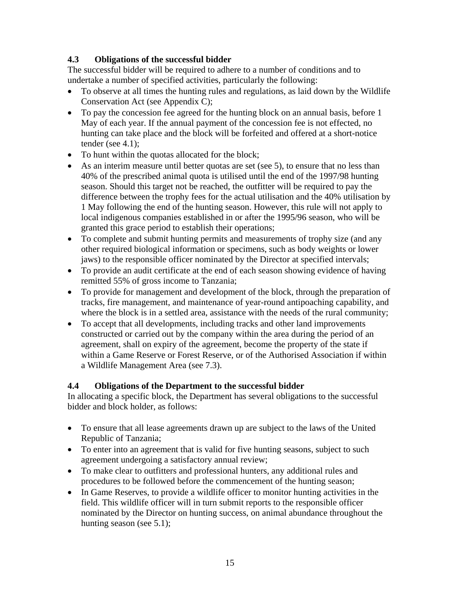# <span id="page-14-0"></span>**4.3 Obligations of the successful bidder**

The successful bidder will be required to adhere to a number of conditions and to undertake a number of specified activities, particularly the following:

- To observe at all times the hunting rules and regulations, as laid down by the Wildlife Conservation Act (see Appendix C);
- To pay the concession fee agreed for the hunting block on an annual basis, before 1 May of each year. If the annual payment of the concession fee is not effected, no hunting can take place and the block will be forfeited and offered at a short-notice tender (see 4.1);
- To hunt within the quotas allocated for the block;
- As an interim measure until better quotas are set (see 5), to ensure that no less than 40% of the prescribed animal quota is utilised until the end of the 1997/98 hunting season. Should this target not be reached, the outfitter will be required to pay the difference between the trophy fees for the actual utilisation and the 40% utilisation by 1 May following the end of the hunting season. However, this rule will not apply to local indigenous companies established in or after the 1995/96 season, who will be granted this grace period to establish their operations;
- To complete and submit hunting permits and measurements of trophy size (and any other required biological information or specimens, such as body weights or lower jaws) to the responsible officer nominated by the Director at specified intervals;
- To provide an audit certificate at the end of each season showing evidence of having remitted 55% of gross income to Tanzania;
- To provide for management and development of the block, through the preparation of tracks, fire management, and maintenance of year-round antipoaching capability, and where the block is in a settled area, assistance with the needs of the rural community;
- To accept that all developments, including tracks and other land improvements constructed or carried out by the company within the area during the period of an agreement, shall on expiry of the agreement, become the property of the state if within a Game Reserve or Forest Reserve, or of the Authorised Association if within a Wildlife Management Area (see 7.3).

# **4.4 Obligations of the Department to the successful bidder**

In allocating a specific block, the Department has several obligations to the successful bidder and block holder, as follows:

- To ensure that all lease agreements drawn up are subject to the laws of the United Republic of Tanzania;
- To enter into an agreement that is valid for five hunting seasons, subject to such agreement undergoing a satisfactory annual review;
- To make clear to outfitters and professional hunters, any additional rules and procedures to be followed before the commencement of the hunting season;
- In Game Reserves, to provide a wildlife officer to monitor hunting activities in the field. This wildlife officer will in turn submit reports to the responsible officer nominated by the Director on hunting success, on animal abundance throughout the hunting season (see 5.1);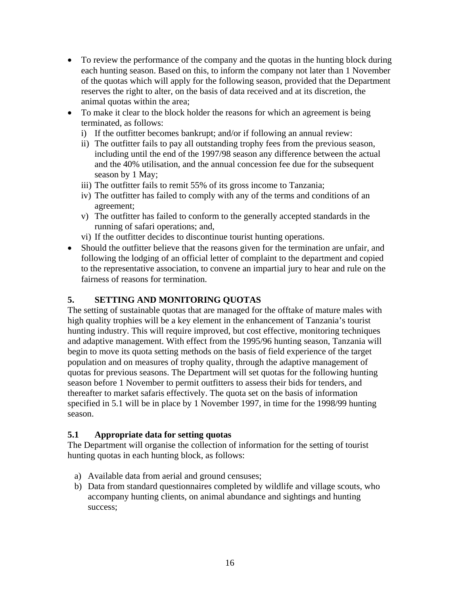- <span id="page-15-0"></span>• To review the performance of the company and the quotas in the hunting block during each hunting season. Based on this, to inform the company not later than 1 November of the quotas which will apply for the following season, provided that the Department reserves the right to alter, on the basis of data received and at its discretion, the animal quotas within the area;
- To make it clear to the block holder the reasons for which an agreement is being terminated, as follows:
	- i) If the outfitter becomes bankrupt; and/or if following an annual review:
	- ii) The outfitter fails to pay all outstanding trophy fees from the previous season, including until the end of the 1997/98 season any difference between the actual and the 40% utilisation, and the annual concession fee due for the subsequent season by 1 May;
	- iii) The outfitter fails to remit 55% of its gross income to Tanzania;
	- iv) The outfitter has failed to comply with any of the terms and conditions of an agreement;
	- v) The outfitter has failed to conform to the generally accepted standards in the running of safari operations; and,
	- vi) If the outfitter decides to discontinue tourist hunting operations.
- Should the outfitter believe that the reasons given for the termination are unfair, and following the lodging of an official letter of complaint to the department and copied to the representative association, to convene an impartial jury to hear and rule on the fairness of reasons for termination.

### **5. SETTING AND MONITORING QUOTAS**

The setting of sustainable quotas that are managed for the offtake of mature males with high quality trophies will be a key element in the enhancement of Tanzania's tourist hunting industry. This will require improved, but cost effective, monitoring techniques and adaptive management. With effect from the 1995/96 hunting season, Tanzania will begin to move its quota setting methods on the basis of field experience of the target population and on measures of trophy quality, through the adaptive management of quotas for previous seasons. The Department will set quotas for the following hunting season before 1 November to permit outfitters to assess their bids for tenders, and thereafter to market safaris effectively. The quota set on the basis of information specified in 5.1 will be in place by 1 November 1997, in time for the 1998/99 hunting season.

### **5.1 Appropriate data for setting quotas**

The Department will organise the collection of information for the setting of tourist hunting quotas in each hunting block, as follows:

- a) Available data from aerial and ground censuses;
- b) Data from standard questionnaires completed by wildlife and village scouts, who accompany hunting clients, on animal abundance and sightings and hunting success;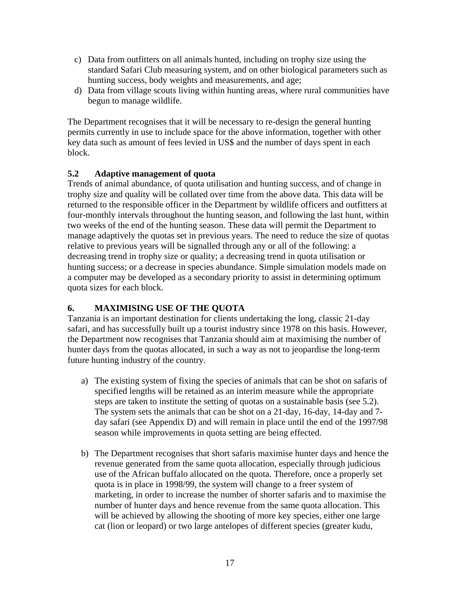- <span id="page-16-0"></span>c) Data from outfitters on all animals hunted, including on trophy size using the standard Safari Club measuring system, and on other biological parameters such as hunting success, body weights and measurements, and age;
- d) Data from village scouts living within hunting areas, where rural communities have begun to manage wildlife.

The Department recognises that it will be necessary to re-design the general hunting permits currently in use to include space for the above information, together with other key data such as amount of fees levied in US\$ and the number of days spent in each block.

### **5.2 Adaptive management of quota**

Trends of animal abundance, of quota utilisation and hunting success, and of change in trophy size and quality will be collated over time from the above data. This data will be returned to the responsible officer in the Department by wildlife officers and outfitters at four-monthly intervals throughout the hunting season, and following the last hunt, within two weeks of the end of the hunting season. These data will permit the Department to manage adaptively the quotas set in previous years. The need to reduce the size of quotas relative to previous years will be signalled through any or all of the following: a decreasing trend in trophy size or quality; a decreasing trend in quota utilisation or hunting success; or a decrease in species abundance. Simple simulation models made on a computer may be developed as a secondary priority to assist in determining optimum quota sizes for each block.

# **6. MAXIMISING USE OF THE QUOTA**

Tanzania is an important destination for clients undertaking the long, classic 21-day safari, and has successfully built up a tourist industry since 1978 on this basis. However, the Department now recognises that Tanzania should aim at maximising the number of hunter days from the quotas allocated, in such a way as not to jeopardise the long-term future hunting industry of the country.

- a) The existing system of fixing the species of animals that can be shot on safaris of specified lengths will be retained as an interim measure while the appropriate steps are taken to institute the setting of quotas on a sustainable basis (see 5.2). The system sets the animals that can be shot on a 21-day, 16-day, 14-day and 7 day safari (see Appendix D) and will remain in place until the end of the 1997/98 season while improvements in quota setting are being effected.
- b) The Department recognises that short safaris maximise hunter days and hence the revenue generated from the same quota allocation, especially through judicious use of the African buffalo allocated on the quota. Therefore, once a properly set quota is in place in 1998/99, the system will change to a freer system of marketing, in order to increase the number of shorter safaris and to maximise the number of hunter days and hence revenue from the same quota allocation. This will be achieved by allowing the shooting of more key species, either one large cat (lion or leopard) or two large antelopes of different species (greater kudu,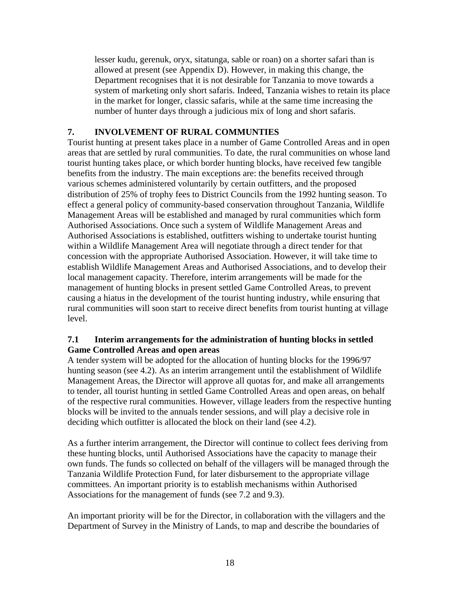<span id="page-17-0"></span>lesser kudu, gerenuk, oryx, sitatunga, sable or roan) on a shorter safari than is allowed at present (see Appendix D). However, in making this change, the Department recognises that it is not desirable for Tanzania to move towards a system of marketing only short safaris. Indeed, Tanzania wishes to retain its place in the market for longer, classic safaris, while at the same time increasing the number of hunter days through a judicious mix of long and short safaris.

### **7. INVOLVEMENT OF RURAL COMMUNTIES**

Tourist hunting at present takes place in a number of Game Controlled Areas and in open areas that are settled by rural communities. To date, the rural communities on whose land tourist hunting takes place, or which border hunting blocks, have received few tangible benefits from the industry. The main exceptions are: the benefits received through various schemes administered voluntarily by certain outfitters, and the proposed distribution of 25% of trophy fees to District Councils from the 1992 hunting season. To effect a general policy of community-based conservation throughout Tanzania, Wildlife Management Areas will be established and managed by rural communities which form Authorised Associations. Once such a system of Wildlife Management Areas and Authorised Associations is established, outfitters wishing to undertake tourist hunting within a Wildlife Management Area will negotiate through a direct tender for that concession with the appropriate Authorised Association. However, it will take time to establish Wildlife Management Areas and Authorised Associations, and to develop their local management capacity. Therefore, interim arrangements will be made for the management of hunting blocks in present settled Game Controlled Areas, to prevent causing a hiatus in the development of the tourist hunting industry, while ensuring that rural communities will soon start to receive direct benefits from tourist hunting at village level.

#### **7.1 Interim arrangements for the administration of hunting blocks in settled Game Controlled Areas and open areas**

A tender system will be adopted for the allocation of hunting blocks for the 1996/97 hunting season (see 4.2). As an interim arrangement until the establishment of Wildlife Management Areas, the Director will approve all quotas for, and make all arrangements to tender, all tourist hunting in settled Game Controlled Areas and open areas, on behalf of the respective rural communities. However, village leaders from the respective hunting blocks will be invited to the annuals tender sessions, and will play a decisive role in deciding which outfitter is allocated the block on their land (see 4.2).

As a further interim arrangement, the Director will continue to collect fees deriving from these hunting blocks, until Authorised Associations have the capacity to manage their own funds. The funds so collected on behalf of the villagers will be managed through the Tanzania Wildlife Protection Fund, for later disbursement to the appropriate village committees. An important priority is to establish mechanisms within Authorised Associations for the management of funds (see 7.2 and 9.3).

An important priority will be for the Director, in collaboration with the villagers and the Department of Survey in the Ministry of Lands, to map and describe the boundaries of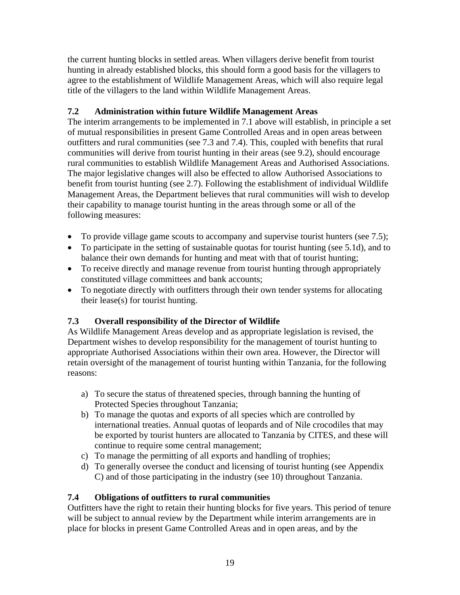<span id="page-18-0"></span>the current hunting blocks in settled areas. When villagers derive benefit from tourist hunting in already established blocks, this should form a good basis for the villagers to agree to the establishment of Wildlife Management Areas, which will also require legal title of the villagers to the land within Wildlife Management Areas.

# **7.2 Administration within future Wildlife Management Areas**

The interim arrangements to be implemented in 7.1 above will establish, in principle a set of mutual responsibilities in present Game Controlled Areas and in open areas between outfitters and rural communities (see 7.3 and 7.4). This, coupled with benefits that rural communities will derive from tourist hunting in their areas (see 9.2), should encourage rural communities to establish Wildlife Management Areas and Authorised Associations. The major legislative changes will also be effected to allow Authorised Associations to benefit from tourist hunting (see 2.7). Following the establishment of individual Wildlife Management Areas, the Department believes that rural communities will wish to develop their capability to manage tourist hunting in the areas through some or all of the following measures:

- To provide village game scouts to accompany and supervise tourist hunters (see 7.5);
- To participate in the setting of sustainable quotas for tourist hunting (see 5.1d), and to balance their own demands for hunting and meat with that of tourist hunting;
- To receive directly and manage revenue from tourist hunting through appropriately constituted village committees and bank accounts;
- To negotiate directly with outfitters through their own tender systems for allocating their lease(s) for tourist hunting.

# **7.3 Overall responsibility of the Director of Wildlife**

As Wildlife Management Areas develop and as appropriate legislation is revised, the Department wishes to develop responsibility for the management of tourist hunting to appropriate Authorised Associations within their own area. However, the Director will retain oversight of the management of tourist hunting within Tanzania, for the following reasons:

- a) To secure the status of threatened species, through banning the hunting of Protected Species throughout Tanzania;
- b) To manage the quotas and exports of all species which are controlled by international treaties. Annual quotas of leopards and of Nile crocodiles that may be exported by tourist hunters are allocated to Tanzania by CITES, and these will continue to require some central management;
- c) To manage the permitting of all exports and handling of trophies;
- d) To generally oversee the conduct and licensing of tourist hunting (see Appendix C) and of those participating in the industry (see 10) throughout Tanzania.

# **7.4 Obligations of outfitters to rural communities**

Outfitters have the right to retain their hunting blocks for five years. This period of tenure will be subject to annual review by the Department while interim arrangements are in place for blocks in present Game Controlled Areas and in open areas, and by the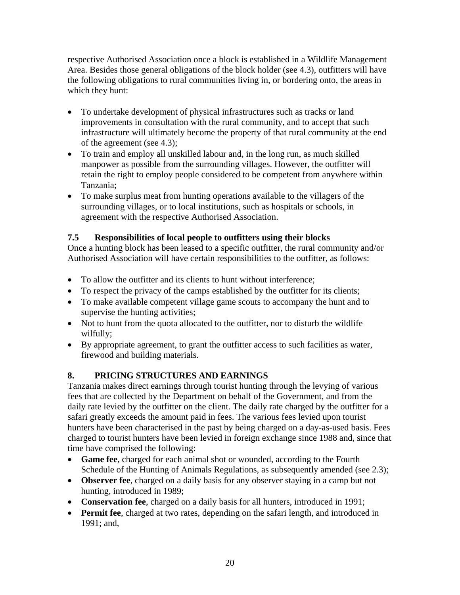<span id="page-19-0"></span>respective Authorised Association once a block is established in a Wildlife Management Area. Besides those general obligations of the block holder (see 4.3), outfitters will have the following obligations to rural communities living in, or bordering onto, the areas in which they hunt:

- To undertake development of physical infrastructures such as tracks or land improvements in consultation with the rural community, and to accept that such infrastructure will ultimately become the property of that rural community at the end of the agreement (see 4.3);
- To train and employ all unskilled labour and, in the long run, as much skilled manpower as possible from the surrounding villages. However, the outfitter will retain the right to employ people considered to be competent from anywhere within Tanzania;
- To make surplus meat from hunting operations available to the villagers of the surrounding villages, or to local institutions, such as hospitals or schools, in agreement with the respective Authorised Association.

# **7.5 Responsibilities of local people to outfitters using their blocks**

Once a hunting block has been leased to a specific outfitter, the rural community and/or Authorised Association will have certain responsibilities to the outfitter, as follows:

- To allow the outfitter and its clients to hunt without interference;
- To respect the privacy of the camps established by the outfitter for its clients;
- To make available competent village game scouts to accompany the hunt and to supervise the hunting activities;
- Not to hunt from the quota allocated to the outfitter, nor to disturb the wildlife wilfully;
- By appropriate agreement, to grant the outfitter access to such facilities as water, firewood and building materials.

# **8. PRICING STRUCTURES AND EARNINGS**

Tanzania makes direct earnings through tourist hunting through the levying of various fees that are collected by the Department on behalf of the Government, and from the daily rate levied by the outfitter on the client. The daily rate charged by the outfitter for a safari greatly exceeds the amount paid in fees. The various fees levied upon tourist hunters have been characterised in the past by being charged on a day-as-used basis. Fees charged to tourist hunters have been levied in foreign exchange since 1988 and, since that time have comprised the following:

- **Game fee**, charged for each animal shot or wounded, according to the Fourth Schedule of the Hunting of Animals Regulations, as subsequently amended (see 2.3);
- **Observer fee**, charged on a daily basis for any observer staying in a camp but not hunting, introduced in 1989;
- **Conservation fee**, charged on a daily basis for all hunters, introduced in 1991;
- **Permit fee**, charged at two rates, depending on the safari length, and introduced in 1991; and,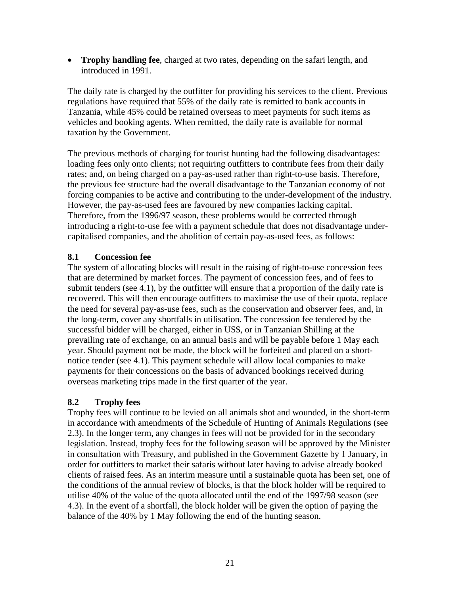<span id="page-20-0"></span>• **Trophy handling fee**, charged at two rates, depending on the safari length, and introduced in 1991.

The daily rate is charged by the outfitter for providing his services to the client. Previous regulations have required that 55% of the daily rate is remitted to bank accounts in Tanzania, while 45% could be retained overseas to meet payments for such items as vehicles and booking agents. When remitted, the daily rate is available for normal taxation by the Government.

The previous methods of charging for tourist hunting had the following disadvantages: loading fees only onto clients; not requiring outfitters to contribute fees from their daily rates; and, on being charged on a pay-as-used rather than right-to-use basis. Therefore, the previous fee structure had the overall disadvantage to the Tanzanian economy of not forcing companies to be active and contributing to the under-development of the industry. However, the pay-as-used fees are favoured by new companies lacking capital. Therefore, from the 1996/97 season, these problems would be corrected through introducing a right-to-use fee with a payment schedule that does not disadvantage undercapitalised companies, and the abolition of certain pay-as-used fees, as follows:

### **8.1 Concession fee**

The system of allocating blocks will result in the raising of right-to-use concession fees that are determined by market forces. The payment of concession fees, and of fees to submit tenders (see 4.1), by the outfitter will ensure that a proportion of the daily rate is recovered. This will then encourage outfitters to maximise the use of their quota, replace the need for several pay-as-use fees, such as the conservation and observer fees, and, in the long-term, cover any shortfalls in utilisation. The concession fee tendered by the successful bidder will be charged, either in US\$, or in Tanzanian Shilling at the prevailing rate of exchange, on an annual basis and will be payable before 1 May each year. Should payment not be made, the block will be forfeited and placed on a shortnotice tender (see 4.1). This payment schedule will allow local companies to make payments for their concessions on the basis of advanced bookings received during overseas marketing trips made in the first quarter of the year.

### **8.2 Trophy fees**

Trophy fees will continue to be levied on all animals shot and wounded, in the short-term in accordance with amendments of the Schedule of Hunting of Animals Regulations (see 2.3). In the longer term, any changes in fees will not be provided for in the secondary legislation. Instead, trophy fees for the following season will be approved by the Minister in consultation with Treasury, and published in the Government Gazette by 1 January, in order for outfitters to market their safaris without later having to advise already booked clients of raised fees. As an interim measure until a sustainable quota has been set, one of the conditions of the annual review of blocks, is that the block holder will be required to utilise 40% of the value of the quota allocated until the end of the 1997/98 season (see 4.3). In the event of a shortfall, the block holder will be given the option of paying the balance of the 40% by 1 May following the end of the hunting season.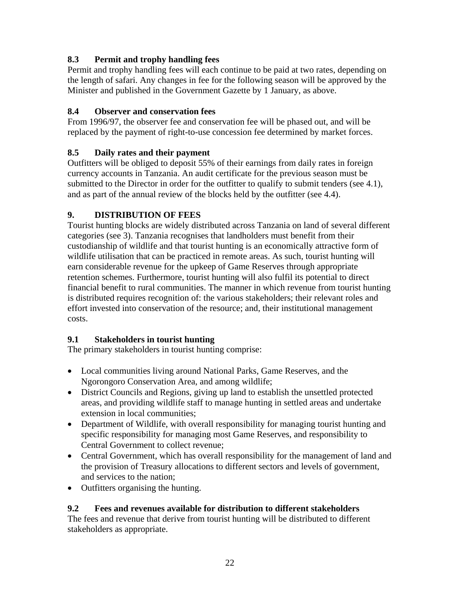# <span id="page-21-0"></span>**8.3 Permit and trophy handling fees**

Permit and trophy handling fees will each continue to be paid at two rates, depending on the length of safari. Any changes in fee for the following season will be approved by the Minister and published in the Government Gazette by 1 January, as above.

# **8.4 Observer and conservation fees**

From 1996/97, the observer fee and conservation fee will be phased out, and will be replaced by the payment of right-to-use concession fee determined by market forces.

# **8.5 Daily rates and their payment**

Outfitters will be obliged to deposit 55% of their earnings from daily rates in foreign currency accounts in Tanzania. An audit certificate for the previous season must be submitted to the Director in order for the outfitter to qualify to submit tenders (see 4.1), and as part of the annual review of the blocks held by the outfitter (see 4.4).

# **9. DISTRIBUTION OF FEES**

Tourist hunting blocks are widely distributed across Tanzania on land of several different categories (see 3). Tanzania recognises that landholders must benefit from their custodianship of wildlife and that tourist hunting is an economically attractive form of wildlife utilisation that can be practiced in remote areas. As such, tourist hunting will earn considerable revenue for the upkeep of Game Reserves through appropriate retention schemes. Furthermore, tourist hunting will also fulfil its potential to direct financial benefit to rural communities. The manner in which revenue from tourist hunting is distributed requires recognition of: the various stakeholders; their relevant roles and effort invested into conservation of the resource; and, their institutional management costs.

# **9.1 Stakeholders in tourist hunting**

The primary stakeholders in tourist hunting comprise:

- Local communities living around National Parks, Game Reserves, and the Ngorongoro Conservation Area, and among wildlife;
- District Councils and Regions, giving up land to establish the unsettled protected areas, and providing wildlife staff to manage hunting in settled areas and undertake extension in local communities;
- Department of Wildlife, with overall responsibility for managing tourist hunting and specific responsibility for managing most Game Reserves, and responsibility to Central Government to collect revenue;
- Central Government, which has overall responsibility for the management of land and the provision of Treasury allocations to different sectors and levels of government, and services to the nation;
- Outfitters organising the hunting.

# **9.2 Fees and revenues available for distribution to different stakeholders**

The fees and revenue that derive from tourist hunting will be distributed to different stakeholders as appropriate.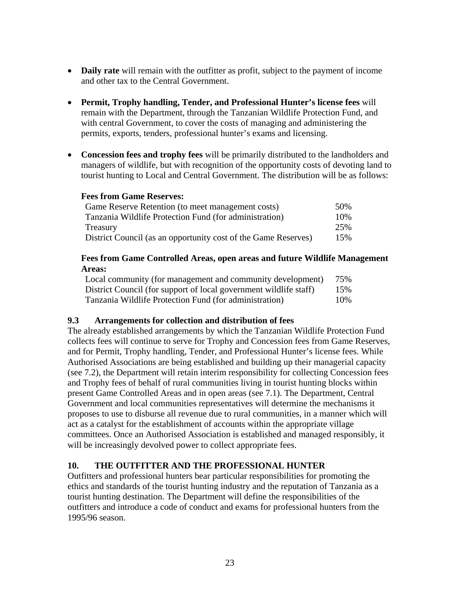- <span id="page-22-0"></span>• **Daily rate** will remain with the outfitter as profit, subject to the payment of income and other tax to the Central Government.
- **Permit, Trophy handling, Tender, and Professional Hunter's license fees** will remain with the Department, through the Tanzanian Wildlife Protection Fund, and with central Government, to cover the costs of managing and administering the permits, exports, tenders, professional hunter's exams and licensing.
- **Concession fees and trophy fees** will be primarily distributed to the landholders and managers of wildlife, but with recognition of the opportunity costs of devoting land to tourist hunting to Local and Central Government. The distribution will be as follows:

#### **Fees from Game Reserves:**

| Game Reserve Retention (to meet management costs)              | 50% |
|----------------------------------------------------------------|-----|
| Tanzania Wildlife Protection Fund (for administration)         | 10% |
| Treasury                                                       | 25% |
| District Council (as an opportunity cost of the Game Reserves) | 15% |

### **Fees from Game Controlled Areas, open areas and future Wildlife Management Areas:**

| Local community (for management and community development)        | 75% |
|-------------------------------------------------------------------|-----|
| District Council (for support of local government wildlife staff) | 15% |
| Tanzania Wildlife Protection Fund (for administration)            | 10% |

### **9.3 Arrangements for collection and distribution of fees**

The already established arrangements by which the Tanzanian Wildlife Protection Fund collects fees will continue to serve for Trophy and Concession fees from Game Reserves, and for Permit, Trophy handling, Tender, and Professional Hunter's license fees. While Authorised Associations are being established and building up their managerial capacity (see 7.2), the Department will retain interim responsibility for collecting Concession fees and Trophy fees of behalf of rural communities living in tourist hunting blocks within present Game Controlled Areas and in open areas (see 7.1). The Department, Central Government and local communities representatives will determine the mechanisms it proposes to use to disburse all revenue due to rural communities, in a manner which will act as a catalyst for the establishment of accounts within the appropriate village committees. Once an Authorised Association is established and managed responsibly, it will be increasingly devolved power to collect appropriate fees.

# **10. THE OUTFITTER AND THE PROFESSIONAL HUNTER**

Outfitters and professional hunters bear particular responsibilities for promoting the ethics and standards of the tourist hunting industry and the reputation of Tanzania as a tourist hunting destination. The Department will define the responsibilities of the outfitters and introduce a code of conduct and exams for professional hunters from the 1995/96 season.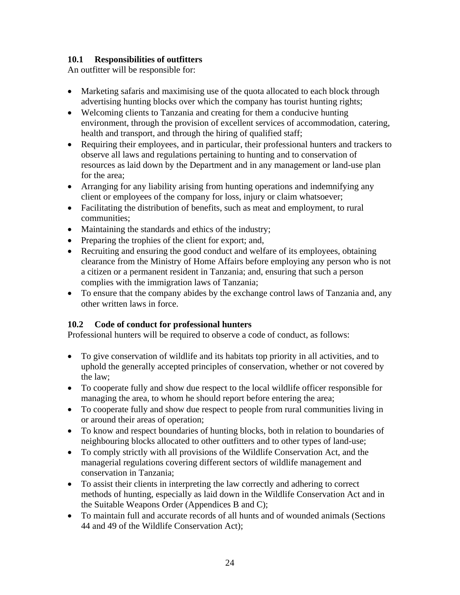### <span id="page-23-0"></span>**10.1 Responsibilities of outfitters**

An outfitter will be responsible for:

- Marketing safaris and maximising use of the quota allocated to each block through advertising hunting blocks over which the company has tourist hunting rights;
- Welcoming clients to Tanzania and creating for them a conducive hunting environment, through the provision of excellent services of accommodation, catering, health and transport, and through the hiring of qualified staff;
- Requiring their employees, and in particular, their professional hunters and trackers to observe all laws and regulations pertaining to hunting and to conservation of resources as laid down by the Department and in any management or land-use plan for the area;
- Arranging for any liability arising from hunting operations and indemnifying any client or employees of the company for loss, injury or claim whatsoever;
- Facilitating the distribution of benefits, such as meat and employment, to rural communities;
- Maintaining the standards and ethics of the industry;
- Preparing the trophies of the client for export; and,
- Recruiting and ensuring the good conduct and welfare of its employees, obtaining clearance from the Ministry of Home Affairs before employing any person who is not a citizen or a permanent resident in Tanzania; and, ensuring that such a person complies with the immigration laws of Tanzania;
- To ensure that the company abides by the exchange control laws of Tanzania and, any other written laws in force.

# **10.2 Code of conduct for professional hunters**

Professional hunters will be required to observe a code of conduct, as follows:

- To give conservation of wildlife and its habitats top priority in all activities, and to uphold the generally accepted principles of conservation, whether or not covered by the law;
- To cooperate fully and show due respect to the local wildlife officer responsible for managing the area, to whom he should report before entering the area;
- To cooperate fully and show due respect to people from rural communities living in or around their areas of operation;
- To know and respect boundaries of hunting blocks, both in relation to boundaries of neighbouring blocks allocated to other outfitters and to other types of land-use;
- To comply strictly with all provisions of the Wildlife Conservation Act, and the managerial regulations covering different sectors of wildlife management and conservation in Tanzania;
- To assist their clients in interpreting the law correctly and adhering to correct methods of hunting, especially as laid down in the Wildlife Conservation Act and in the Suitable Weapons Order (Appendices B and C);
- To maintain full and accurate records of all hunts and of wounded animals (Sections 44 and 49 of the Wildlife Conservation Act);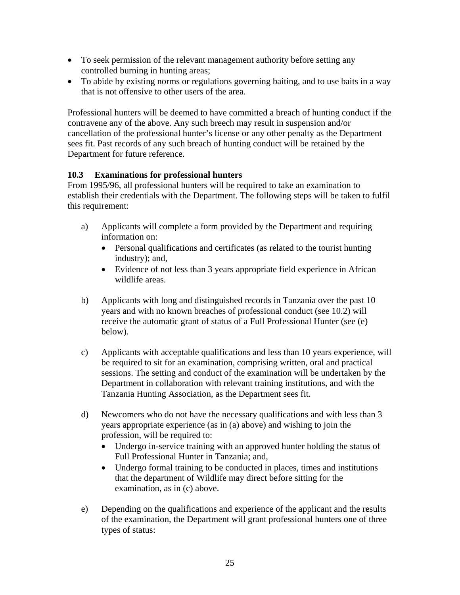- <span id="page-24-0"></span>• To seek permission of the relevant management authority before setting any controlled burning in hunting areas;
- To abide by existing norms or regulations governing baiting, and to use baits in a way that is not offensive to other users of the area.

Professional hunters will be deemed to have committed a breach of hunting conduct if the contravene any of the above. Any such breech may result in suspension and/or cancellation of the professional hunter's license or any other penalty as the Department sees fit. Past records of any such breach of hunting conduct will be retained by the Department for future reference.

### **10.3 Examinations for professional hunters**

From 1995/96, all professional hunters will be required to take an examination to establish their credentials with the Department. The following steps will be taken to fulfil this requirement:

- a) Applicants will complete a form provided by the Department and requiring information on:
	- Personal qualifications and certificates (as related to the tourist hunting industry); and,
	- Evidence of not less than 3 years appropriate field experience in African wildlife areas.
- b) Applicants with long and distinguished records in Tanzania over the past 10 years and with no known breaches of professional conduct (see 10.2) will receive the automatic grant of status of a Full Professional Hunter (see (e) below).
- c) Applicants with acceptable qualifications and less than 10 years experience, will be required to sit for an examination, comprising written, oral and practical sessions. The setting and conduct of the examination will be undertaken by the Department in collaboration with relevant training institutions, and with the Tanzania Hunting Association, as the Department sees fit.
- d) Newcomers who do not have the necessary qualifications and with less than 3 years appropriate experience (as in (a) above) and wishing to join the profession, will be required to:
	- Undergo in-service training with an approved hunter holding the status of Full Professional Hunter in Tanzania; and,
	- Undergo formal training to be conducted in places, times and institutions that the department of Wildlife may direct before sitting for the examination, as in (c) above.
- e) Depending on the qualifications and experience of the applicant and the results of the examination, the Department will grant professional hunters one of three types of status: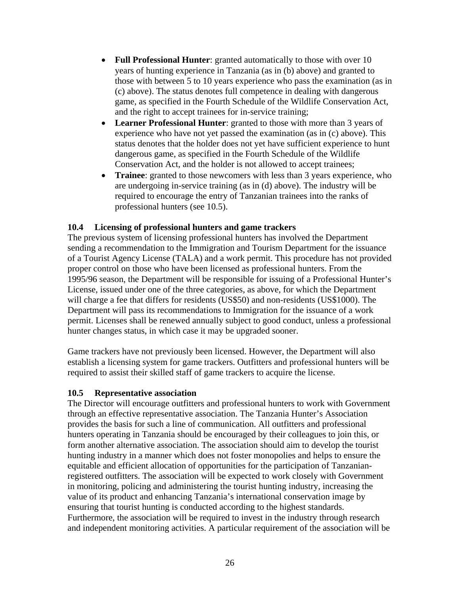- <span id="page-25-0"></span>• **Full Professional Hunter**: granted automatically to those with over 10 years of hunting experience in Tanzania (as in (b) above) and granted to those with between 5 to 10 years experience who pass the examination (as in (c) above). The status denotes full competence in dealing with dangerous game, as specified in the Fourth Schedule of the Wildlife Conservation Act, and the right to accept trainees for in-service training;
- **Learner Professional Hunter**: granted to those with more than 3 years of experience who have not yet passed the examination (as in (c) above). This status denotes that the holder does not yet have sufficient experience to hunt dangerous game, as specified in the Fourth Schedule of the Wildlife Conservation Act, and the holder is not allowed to accept trainees;
- **Trainee**: granted to those newcomers with less than 3 years experience, who are undergoing in-service training (as in (d) above). The industry will be required to encourage the entry of Tanzanian trainees into the ranks of professional hunters (see 10.5).

#### **10.4 Licensing of professional hunters and game trackers**

The previous system of licensing professional hunters has involved the Department sending a recommendation to the Immigration and Tourism Department for the issuance of a Tourist Agency License (TALA) and a work permit. This procedure has not provided proper control on those who have been licensed as professional hunters. From the 1995/96 season, the Department will be responsible for issuing of a Professional Hunter's License, issued under one of the three categories, as above, for which the Department will charge a fee that differs for residents (US\$50) and non-residents (US\$1000). The Department will pass its recommendations to Immigration for the issuance of a work permit. Licenses shall be renewed annually subject to good conduct, unless a professional hunter changes status, in which case it may be upgraded sooner.

Game trackers have not previously been licensed. However, the Department will also establish a licensing system for game trackers. Outfitters and professional hunters will be required to assist their skilled staff of game trackers to acquire the license.

#### **10.5 Representative association**

The Director will encourage outfitters and professional hunters to work with Government through an effective representative association. The Tanzania Hunter's Association provides the basis for such a line of communication. All outfitters and professional hunters operating in Tanzania should be encouraged by their colleagues to join this, or form another alternative association. The association should aim to develop the tourist hunting industry in a manner which does not foster monopolies and helps to ensure the equitable and efficient allocation of opportunities for the participation of Tanzanianregistered outfitters. The association will be expected to work closely with Government in monitoring, policing and administering the tourist hunting industry, increasing the value of its product and enhancing Tanzania's international conservation image by ensuring that tourist hunting is conducted according to the highest standards. Furthermore, the association will be required to invest in the industry through research and independent monitoring activities. A particular requirement of the association will be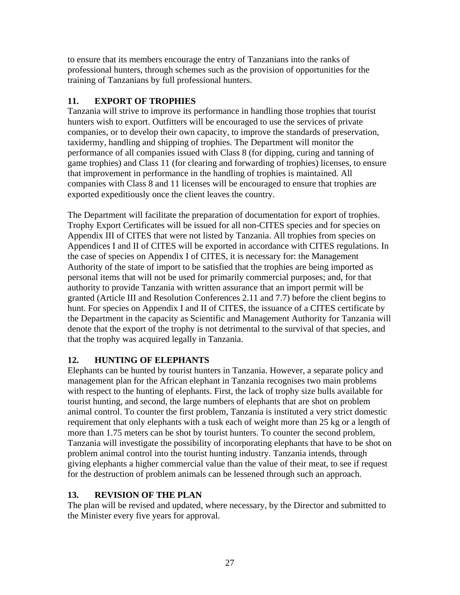<span id="page-26-0"></span>to ensure that its members encourage the entry of Tanzanians into the ranks of professional hunters, through schemes such as the provision of opportunities for the training of Tanzanians by full professional hunters.

# **11. EXPORT OF TROPHIES**

Tanzania will strive to improve its performance in handling those trophies that tourist hunters wish to export. Outfitters will be encouraged to use the services of private companies, or to develop their own capacity, to improve the standards of preservation, taxidermy, handling and shipping of trophies. The Department will monitor the performance of all companies issued with Class 8 (for dipping, curing and tanning of game trophies) and Class 11 (for clearing and forwarding of trophies) licenses, to ensure that improvement in performance in the handling of trophies is maintained. All companies with Class 8 and 11 licenses will be encouraged to ensure that trophies are exported expeditiously once the client leaves the country.

The Department will facilitate the preparation of documentation for export of trophies. Trophy Export Certificates will be issued for all non-CITES species and for species on Appendix III of CITES that were not listed by Tanzania. All trophies from species on Appendices I and II of CITES will be exported in accordance with CITES regulations. In the case of species on Appendix I of CITES, it is necessary for: the Management Authority of the state of import to be satisfied that the trophies are being imported as personal items that will not be used for primarily commercial purposes; and, for that authority to provide Tanzania with written assurance that an import permit will be granted (Article III and Resolution Conferences 2.11 and 7.7) before the client begins to hunt. For species on Appendix I and II of CITES, the issuance of a CITES certificate by the Department in the capacity as Scientific and Management Authority for Tanzania will denote that the export of the trophy is not detrimental to the survival of that species, and that the trophy was acquired legally in Tanzania.

# **12. HUNTING OF ELEPHANTS**

Elephants can be hunted by tourist hunters in Tanzania. However, a separate policy and management plan for the African elephant in Tanzania recognises two main problems with respect to the hunting of elephants. First, the lack of trophy size bulls available for tourist hunting, and second, the large numbers of elephants that are shot on problem animal control. To counter the first problem, Tanzania is instituted a very strict domestic requirement that only elephants with a tusk each of weight more than 25 kg or a length of more than 1.75 meters can be shot by tourist hunters. To counter the second problem, Tanzania will investigate the possibility of incorporating elephants that have to be shot on problem animal control into the tourist hunting industry. Tanzania intends, through giving elephants a higher commercial value than the value of their meat, to see if request for the destruction of problem animals can be lessened through such an approach.

# **13. REVISION OF THE PLAN**

The plan will be revised and updated, where necessary, by the Director and submitted to the Minister every five years for approval.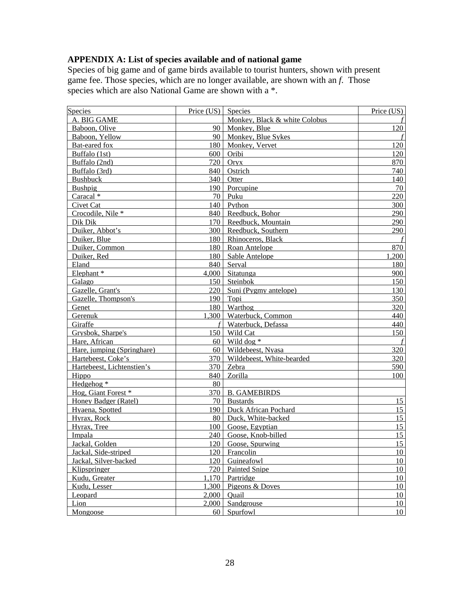### <span id="page-27-0"></span>**APPENDIX A: List of species available and of national game**

Species of big game and of game birds available to tourist hunters, shown with present game fee. Those species, which are no longer available, are shown with an *f*. Those species which are also National Game are shown with a  $*$ .

| Species                    | Price $(US)$ Species |                               | Price (US) |
|----------------------------|----------------------|-------------------------------|------------|
| A. BIG GAME                |                      | Monkey, Black & white Colobus |            |
| Baboon, Olive              |                      | 90 Monkey, Blue               | 120        |
| Baboon, Yellow             |                      | 90 Monkey, Blue Sykes         |            |
| Bat-eared fox              |                      | 180 Monkey, Vervet            | 120        |
| Buffalo (1st)              |                      | 600 Oribi                     | 120        |
| Buffalo (2nd)              |                      | $720$ Oryx                    | 870        |
| Buffalo (3rd)              |                      | 840 Ostrich                   | 740        |
| <b>Bushbuck</b>            | 340                  | Otter                         | 140        |
| Bushpig                    |                      | 190 Porcupine                 | 70         |
| Caracal <sup>*</sup>       |                      | 70 Puku                       | 220        |
| Civet Cat                  |                      | 140 Python                    | 300        |
| Crocodile, Nile*           |                      | 840 Reedbuck, Bohor           | 290        |
| Dik Dik                    |                      | 170 Reedbuck, Mountain        | 290        |
| Duiker, Abbot's            |                      | 300 Reedbuck, Southern        | 290        |
| Duiker, Blue               |                      | 180 Rhinoceros, Black         |            |
| Duiker, Common             |                      | 180 Roan Antelope             | 870        |
| Duiker, Red                |                      | 180 Sable Antelope            | 1,200      |
| Eland                      |                      | 840 Serval                    | 180        |
| Elephant*                  |                      | $4,000$ Sitatunga             | 900        |
| Galago                     |                      | 150 Steinbok                  | 150        |
| Gazelle, Grant's           |                      | 220   Suni (Pygmy antelope)   | 130        |
| Gazelle, Thompson's        |                      | $190$ Topi                    | 350        |
| Genet                      |                      | 180 Warthog                   | 320        |
| Gerenuk                    |                      | 1,300 Waterbuck, Common       | 440        |
| Giraffe                    |                      | Waterbuck, Defassa            | 440        |
| Grysbok, Sharpe's          |                      | 150 Wild Cat                  | 150        |
| Hare, African              |                      | $60$ Wild dog $*$             |            |
| Hare, jumping (Springhare) |                      | 60 Wildebeest, Nyasa          | 320        |
| Hartebeest, Coke's         |                      | 370 Wildebeest, White-bearded | 320        |
| Hartebeest, Lichtenstien's |                      | 370 Zebra                     | 590        |
| Hippo                      |                      | 840 Zorilla                   | 100        |
| Hedgehog *                 | 80                   |                               |            |
| Hog, Giant Forest *        |                      | 370 B. GAMEBIRDS              |            |
| Honey Badger (Ratel)       |                      | 70 Bustards                   | 15         |
| Hyaena, Spotted            |                      | 190 Duck African Pochard      | 15         |
| Hyrax, Rock                |                      | 80   Duck, White-backed       | 15         |
| Hyrax, Tree                |                      | 100 Goose, Egyptian           | 15         |
| Impala                     |                      | 240 Goose, Knob-billed        | 15         |
| Jackal, Golden             |                      | 120 Goose, Spurwing           | 15         |
| Jackal, Side-striped       |                      | 120 Francolin                 | 10         |
| Jackal, Silver-backed      |                      | 120 Guineafowl                | 10         |
| Klipspringer               |                      | 720 Painted Snipe             | 10         |
| Kudu, Greater              |                      | $1,170$ Partridge             | 10         |
| Kudu, Lesser               |                      | $1,300$ Pigeons & Doves       | 10         |
| Leopard                    |                      | $2,000$ Quail                 | 10         |
| Lion                       |                      | 2,000 Sandgrouse              | 10         |
| Mongoose                   | 60 <sup>1</sup>      | Spurfowl                      | 10         |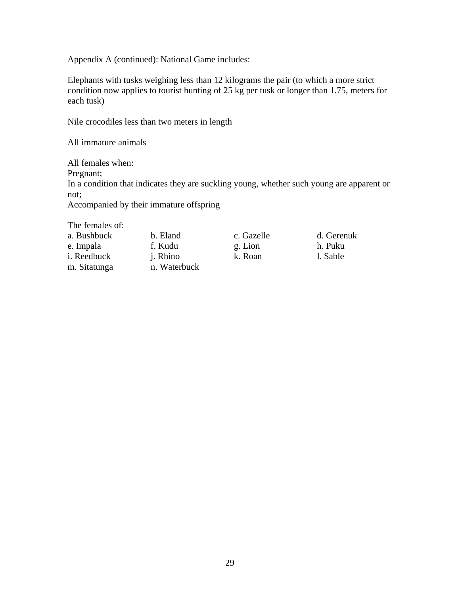Appendix A (continued): National Game includes:

Elephants with tusks weighing less than 12 kilograms the pair (to which a more strict condition now applies to tourist hunting of 25 kg per tusk or longer than 1.75, meters for each tusk)

Nile crocodiles less than two meters in length

All immature animals

All females when: Pregnant; In a condition that indicates they are suckling young, whether such young are apparent or not;

Accompanied by their immature offspring

The females of:

| a. Bushbuck         | b. Eland        | c. Gazelle | d. Gerenuk |
|---------------------|-----------------|------------|------------|
| e. Impala           | f. Kudu         | g. Lion    | h. Puku    |
| <i>i</i> . Reedbuck | <i>i.</i> Rhino | k. Roan    | 1. Sable   |
| m. Sitatunga        | n. Waterbuck    |            |            |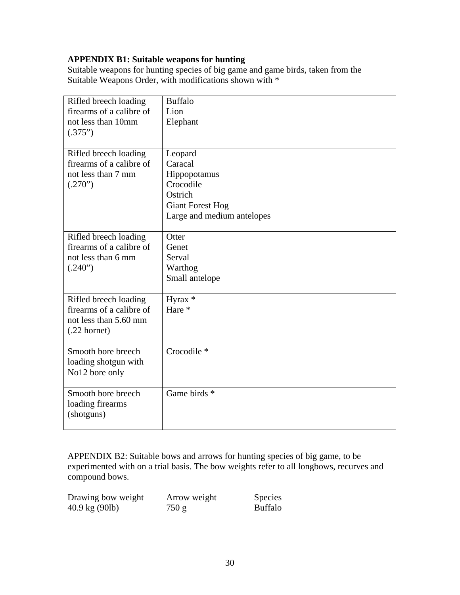### <span id="page-29-0"></span>**APPENDIX B1: Suitable weapons for hunting**

Suitable weapons for hunting species of big game and game birds, taken from the Suitable Weapons Order, with modifications shown with  $*$ 

| Rifled breech loading<br>firearms of a calibre of<br>not less than 10mm<br>(.375")                   | <b>Buffalo</b><br>Lion<br>Elephant                                                                                  |
|------------------------------------------------------------------------------------------------------|---------------------------------------------------------------------------------------------------------------------|
| Rifled breech loading<br>firearms of a calibre of<br>not less than 7 mm<br>(.270")                   | Leopard<br>Caracal<br>Hippopotamus<br>Crocodile<br>Ostrich<br><b>Giant Forest Hog</b><br>Large and medium antelopes |
| Rifled breech loading<br>firearms of a calibre of<br>not less than 6 mm<br>(.240")                   | Otter<br>Genet<br>Serval<br>Warthog<br>Small antelope                                                               |
| Rifled breech loading<br>firearms of a calibre of<br>not less than 5.60 mm<br>$(.22 \text{ hornet})$ | Hyrax *<br>Hare *                                                                                                   |
| Smooth bore breech<br>loading shotgun with<br>No12 bore only                                         | Crocodile *                                                                                                         |
| Smooth bore breech<br>loading firearms<br>(shotguns)                                                 | Game birds *                                                                                                        |

APPENDIX B2: Suitable bows and arrows for hunting species of big game, to be experimented with on a trial basis. The bow weights refer to all longbows, recurves and compound bows.

| Drawing bow weight               | Arrow weight | <b>Species</b> |
|----------------------------------|--------------|----------------|
| $40.9 \text{ kg} (90 \text{lb})$ | 750 g        | <b>Buffalo</b> |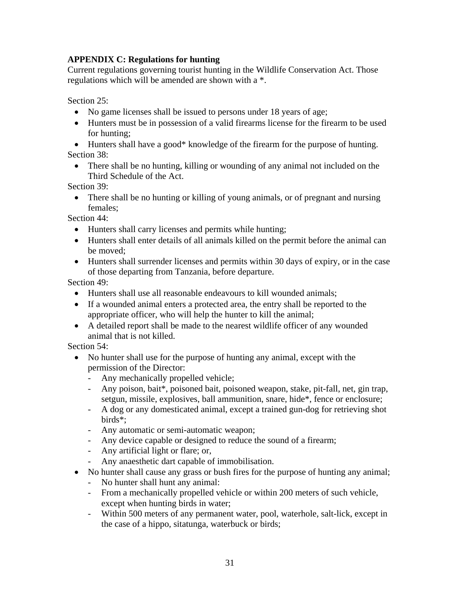### <span id="page-30-0"></span>**APPENDIX C: Regulations for hunting**

Current regulations governing tourist hunting in the Wildlife Conservation Act. Those regulations which will be amended are shown with a \*.

Section 25:

- No game licenses shall be issued to persons under 18 years of age;
- Hunters must be in possession of a valid firearms license for the firearm to be used for hunting;
- Hunters shall have a good\* knowledge of the firearm for the purpose of hunting. Section 38:
	- There shall be no hunting, killing or wounding of any animal not included on the Third Schedule of the Act.

Section 39:

• There shall be no hunting or killing of young animals, or of pregnant and nursing females;

Section 44:

- Hunters shall carry licenses and permits while hunting;
- Hunters shall enter details of all animals killed on the permit before the animal can be moved;
- Hunters shall surrender licenses and permits within 30 days of expiry, or in the case of those departing from Tanzania, before departure.

Section 49:

- Hunters shall use all reasonable endeavours to kill wounded animals;
- If a wounded animal enters a protected area, the entry shall be reported to the appropriate officer, who will help the hunter to kill the animal;
- A detailed report shall be made to the nearest wildlife officer of any wounded animal that is not killed.

Section 54:

- No hunter shall use for the purpose of hunting any animal, except with the permission of the Director:
	- Any mechanically propelled vehicle;
	- Any poison, bait\*, poisoned bait, poisoned weapon, stake, pit-fall, net, gin trap, setgun, missile, explosives, ball ammunition, snare, hide\*, fence or enclosure;
	- A dog or any domesticated animal, except a trained gun-dog for retrieving shot birds\*;
	- Any automatic or semi-automatic weapon;
	- Any device capable or designed to reduce the sound of a firearm;
	- Any artificial light or flare; or,
	- Any anaesthetic dart capable of immobilisation.
- No hunter shall cause any grass or bush fires for the purpose of hunting any animal;
	- No hunter shall hunt any animal:
	- From a mechanically propelled vehicle or within 200 meters of such vehicle, except when hunting birds in water;
	- Within 500 meters of any permanent water, pool, waterhole, salt-lick, except in the case of a hippo, sitatunga, waterbuck or birds;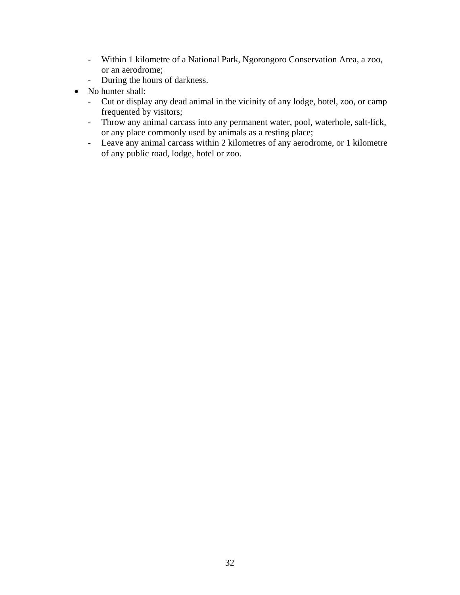- Within 1 kilometre of a National Park, Ngorongoro Conservation Area, a zoo, or an aerodrome;
- During the hours of darkness.
- No hunter shall:
	- Cut or display any dead animal in the vicinity of any lodge, hotel, zoo, or camp frequented by visitors;
	- Throw any animal carcass into any permanent water, pool, waterhole, salt-lick, or any place commonly used by animals as a resting place;
	- Leave any animal carcass within 2 kilometres of any aerodrome, or 1 kilometre of any public road, lodge, hotel or zoo.